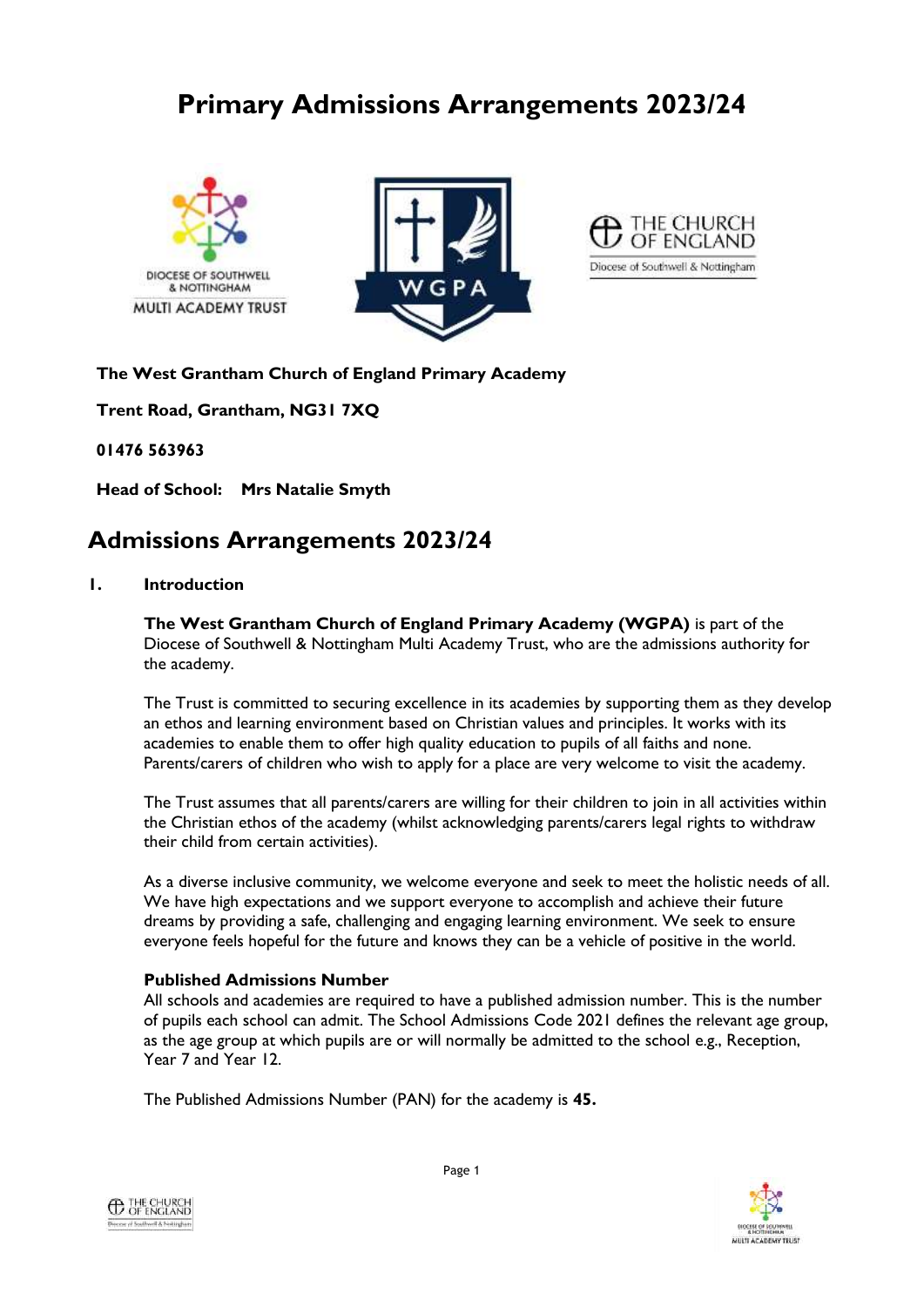# **Primary Admissions Arrangements 2023/24**







**The West Grantham Church of England Primary Academy**

**Trent Road, Grantham, NG31 7XQ**

**01476 563963**

**Head of School: Mrs Natalie Smyth**

# **Admissions Arrangements 2023/24**

### **1. Introduction**

**The West Grantham Church of England Primary Academy (WGPA)** is part of the Diocese of Southwell & Nottingham Multi Academy Trust, who are the admissions authority for the academy.

The Trust is committed to securing excellence in its academies by supporting them as they develop an ethos and learning environment based on Christian values and principles. It works with its academies to enable them to offer high quality education to pupils of all faiths and none. Parents/carers of children who wish to apply for a place are very welcome to visit the academy.

The Trust assumes that all parents/carers are willing for their children to join in all activities within the Christian ethos of the academy (whilst acknowledging parents/carers legal rights to withdraw their child from certain activities).

As a diverse inclusive community, we welcome everyone and seek to meet the holistic needs of all. We have high expectations and we support everyone to accomplish and achieve their future dreams by providing a safe, challenging and engaging learning environment. We seek to ensure everyone feels hopeful for the future and knows they can be a vehicle of positive in the world.

# **Published Admissions Number**

All schools and academies are required to have a published admission number. This is the number of pupils each school can admit. The School Admissions Code 2021 defines the relevant age group, as the age group at which pupils are or will normally be admitted to the school e.g., Reception, Year 7 and Year 12.

The Published Admissions Number (PAN) for the academy is **45.**



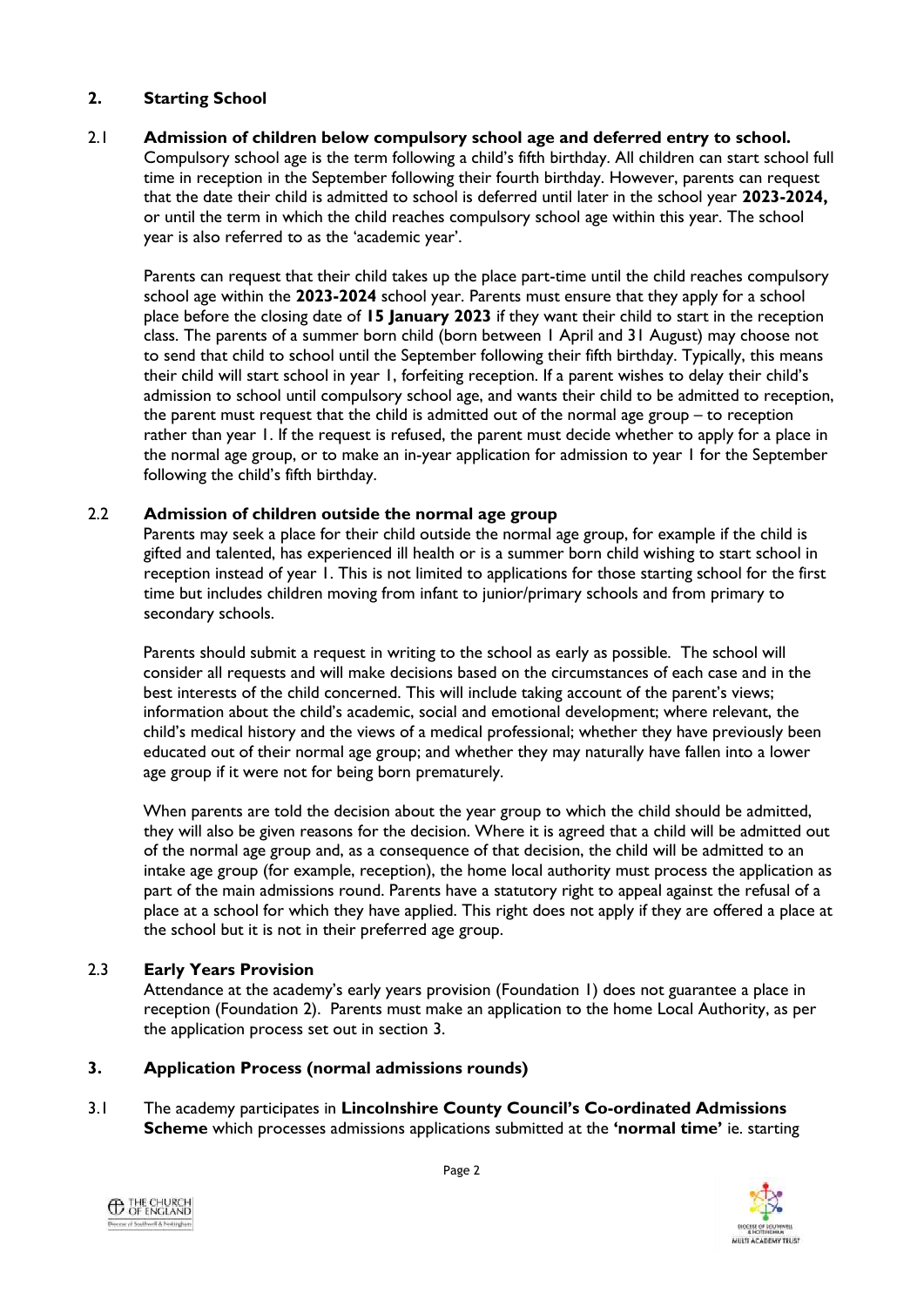# **2. Starting School**

#### 2.1 **Admission of children below compulsory school age and deferred entry to school.**

Compulsory school age is the term following a child's fifth birthday. All children can start school full time in reception in the September following their fourth birthday. However, parents can request that the date their child is admitted to school is deferred until later in the school year **2023-2024,** or until the term in which the child reaches compulsory school age within this year. The school year is also referred to as the 'academic year'.

Parents can request that their child takes up the place part-time until the child reaches compulsory school age within the **2023-2024** school year. Parents must ensure that they apply for a school place before the closing date of **15 January 2023** if they want their child to start in the reception class. The parents of a summer born child (born between 1 April and 31 August) may choose not to send that child to school until the September following their fifth birthday. Typically, this means their child will start school in year 1, forfeiting reception. If a parent wishes to delay their child's admission to school until compulsory school age, and wants their child to be admitted to reception, the parent must request that the child is admitted out of the normal age group – to reception rather than year 1. If the request is refused, the parent must decide whether to apply for a place in the normal age group, or to make an in-year application for admission to year 1 for the September following the child's fifth birthday.

#### 2.2 **Admission of children outside the normal age group**

Parents may seek a place for their child outside the normal age group, for example if the child is gifted and talented, has experienced ill health or is a summer born child wishing to start school in reception instead of year 1. This is not limited to applications for those starting school for the first time but includes children moving from infant to junior/primary schools and from primary to secondary schools.

Parents should submit a request in writing to the school as early as possible. The school will consider all requests and will make decisions based on the circumstances of each case and in the best interests of the child concerned. This will include taking account of the parent's views; information about the child's academic, social and emotional development; where relevant, the child's medical history and the views of a medical professional; whether they have previously been educated out of their normal age group; and whether they may naturally have fallen into a lower age group if it were not for being born prematurely.

When parents are told the decision about the year group to which the child should be admitted, they will also be given reasons for the decision. Where it is agreed that a child will be admitted out of the normal age group and, as a consequence of that decision, the child will be admitted to an intake age group (for example, reception), the home local authority must process the application as part of the main admissions round. Parents have a statutory right to appeal against the refusal of a place at a school for which they have applied. This right does not apply if they are offered a place at the school but it is not in their preferred age group.

# 2.3 **Early Years Provision**

Attendance at the academy's early years provision (Foundation 1) does not guarantee a place in reception (Foundation 2). Parents must make an application to the home Local Authority, as per the application process set out in section 3.

# **3. Application Process (normal admissions rounds)**

3.1 The academy participates in **Lincolnshire County Council's Co-ordinated Admissions Scheme** which processes admissions applications submitted at the **'normal time'** ie. starting



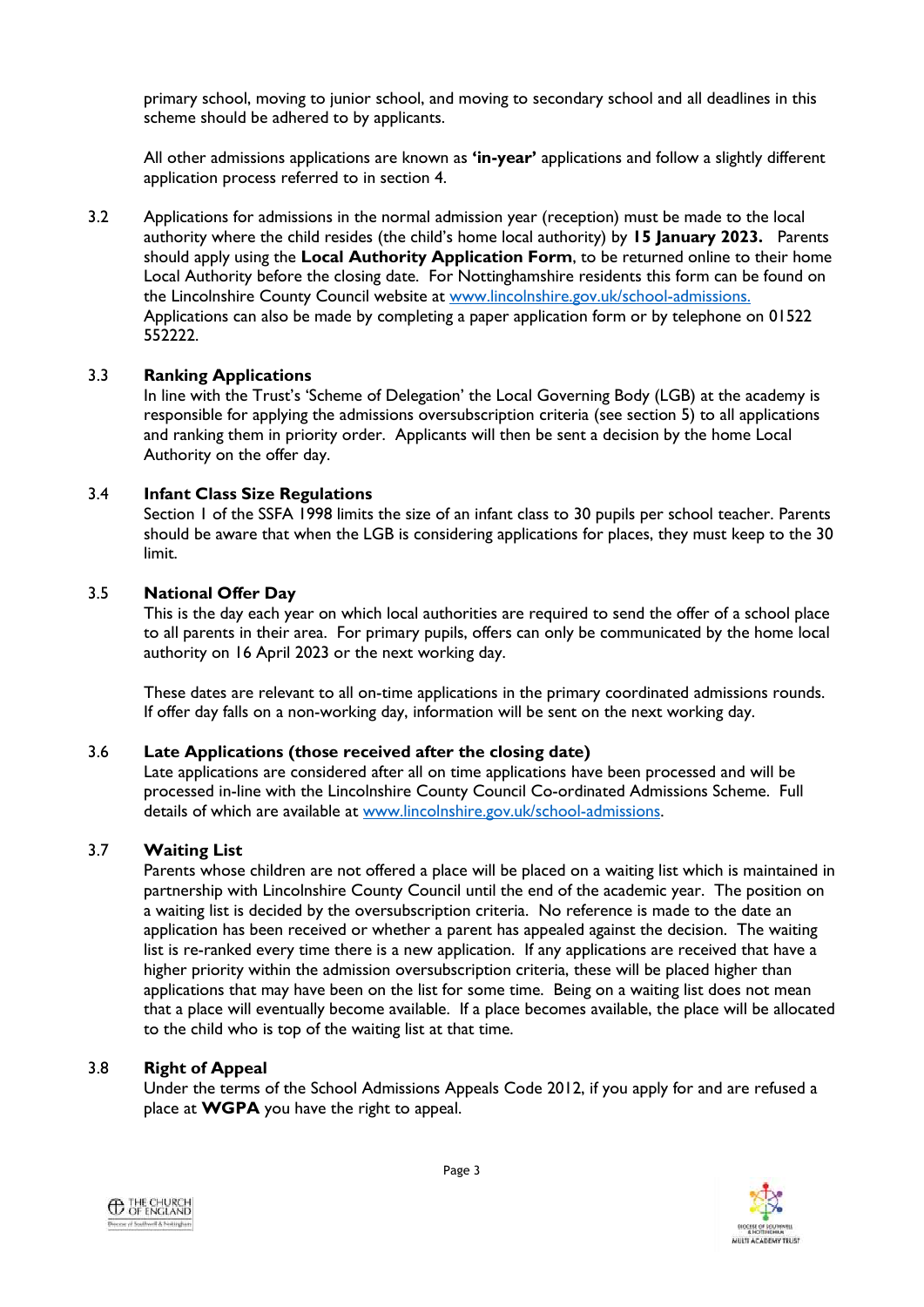primary school, moving to junior school, and moving to secondary school and all deadlines in this scheme should be adhered to by applicants.

All other admissions applications are known as **'in-year'** applications and follow a slightly different application process referred to in section 4.

3.2 Applications for admissions in the normal admission year (reception) must be made to the local authority where the child resides (the child's home local authority) by **15 January 2023.** Parents should apply using the **Local Authority Application Form**, to be returned online to their home Local Authority before the closing date. For Nottinghamshire residents this form can be found on the Lincolnshire County Council website at [www.lincolnshire.gov.uk/school-admissions.](http://www.lincolnshire.gov.uk/school-admissions.) Applications can also be made by completing a paper application form or by telephone on 01522 552222.

#### 3.3 **Ranking Applications**

In line with the Trust's 'Scheme of Delegation' the Local Governing Body (LGB) at the academy is responsible for applying the admissions oversubscription criteria (see section 5) to all applications and ranking them in priority order. Applicants will then be sent a decision by the home Local Authority on the offer day.

#### 3.4 **Infant Class Size Regulations**

Section 1 of the SSFA 1998 limits the size of an infant class to 30 pupils per school teacher. Parents should be aware that when the LGB is considering applications for places, they must keep to the 30 limit.

#### 3.5 **National Offer Day**

This is the day each year on which local authorities are required to send the offer of a school place to all parents in their area. For primary pupils, offers can only be communicated by the home local authority on 16 April 2023 or the next working day.

These dates are relevant to all on-time applications in the primary coordinated admissions rounds. If offer day falls on a non-working day, information will be sent on the next working day.

#### 3.6 **Late Applications (those received after the closing date)**

Late applications are considered after all on time applications have been processed and will be processed in-line with the Lincolnshire County Council Co-ordinated Admissions Scheme. Full details of which are available at [www.lincolnshire.gov.uk/school-admissions.](http://www.lincolnshire.gov.uk/school-admissions)

#### 3.7 **Waiting List**

Parents whose children are not offered a place will be placed on a waiting list which is maintained in partnership with Lincolnshire County Council until the end of the academic year. The position on a waiting list is decided by the oversubscription criteria. No reference is made to the date an application has been received or whether a parent has appealed against the decision. The waiting list is re-ranked every time there is a new application. If any applications are received that have a higher priority within the admission oversubscription criteria, these will be placed higher than applications that may have been on the list for some time. Being on a waiting list does not mean that a place will eventually become available. If a place becomes available, the place will be allocated to the child who is top of the waiting list at that time.

#### 3.8 **Right of Appeal**

Under the terms of the School Admissions Appeals Code 2012, if you apply for and are refused a place at **WGPA** you have the right to appeal.



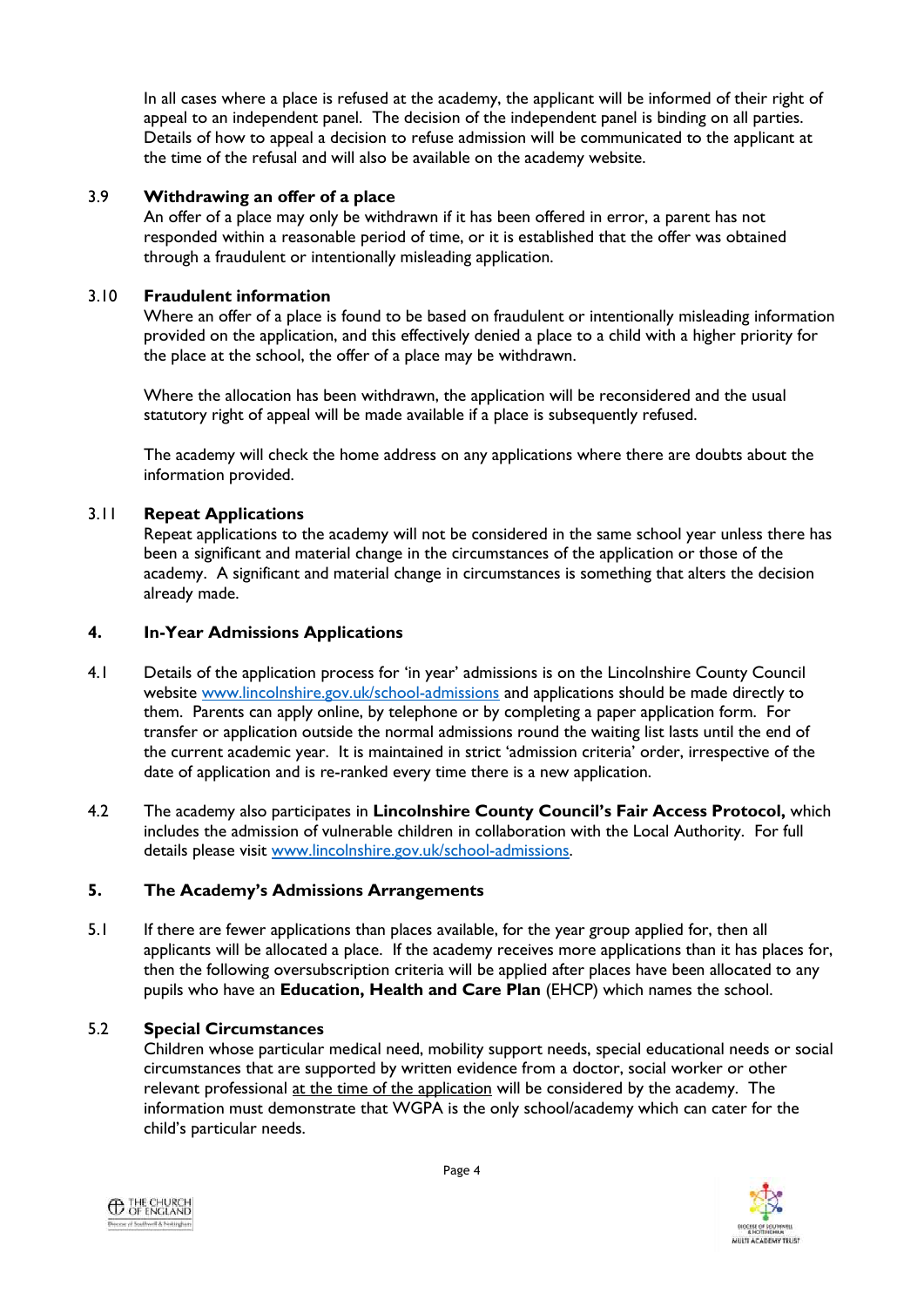In all cases where a place is refused at the academy, the applicant will be informed of their right of appeal to an independent panel. The decision of the independent panel is binding on all parties. Details of how to appeal a decision to refuse admission will be communicated to the applicant at the time of the refusal and will also be available on the academy website.

## 3.9 **Withdrawing an offer of a place**

An offer of a place may only be withdrawn if it has been offered in error, a parent has not responded within a reasonable period of time, or it is established that the offer was obtained through a fraudulent or intentionally misleading application.

# 3.10 **Fraudulent information**

Where an offer of a place is found to be based on fraudulent or intentionally misleading information provided on the application, and this effectively denied a place to a child with a higher priority for the place at the school, the offer of a place may be withdrawn.

Where the allocation has been withdrawn, the application will be reconsidered and the usual statutory right of appeal will be made available if a place is subsequently refused.

The academy will check the home address on any applications where there are doubts about the information provided.

# 3.11 **Repeat Applications**

Repeat applications to the academy will not be considered in the same school year unless there has been a significant and material change in the circumstances of the application or those of the academy. A significant and material change in circumstances is something that alters the decision already made.

#### **4. In-Year Admissions Applications**

- 4.1 Details of the application process for 'in year' admissions is on the Lincolnshire County Council website [www.lincolnshire.gov.uk/school-admissions](http://www.lincolnshire.gov.uk/school-admissions) and applications should be made directly to them. Parents can apply online, by telephone or by completing a paper application form. For transfer or application outside the normal admissions round the waiting list lasts until the end of the current academic year. It is maintained in strict 'admission criteria' order, irrespective of the date of application and is re-ranked every time there is a new application.
- 4.2 The academy also participates in **Lincolnshire County Council's Fair Access Protocol,** which includes the admission of vulnerable children in collaboration with the Local Authority. For full details please visit [www.lincolnshire.gov.uk/school-admissions.](http://www.lincolnshire.gov.uk/school-admissions)

# **5. The Academy's Admissions Arrangements**

5.1 If there are fewer applications than places available, for the year group applied for, then all applicants will be allocated a place. If the academy receives more applications than it has places for, then the following oversubscription criteria will be applied after places have been allocated to any pupils who have an **Education, Health and Care Plan** (EHCP) which names the school.

# 5.2 **Special Circumstances**

Children whose particular medical need, mobility support needs, special educational needs or social circumstances that are supported by written evidence from a doctor, social worker or other relevant professional at the time of the application will be considered by the academy. The information must demonstrate that WGPA is the only school/academy which can cater for the child's particular needs.



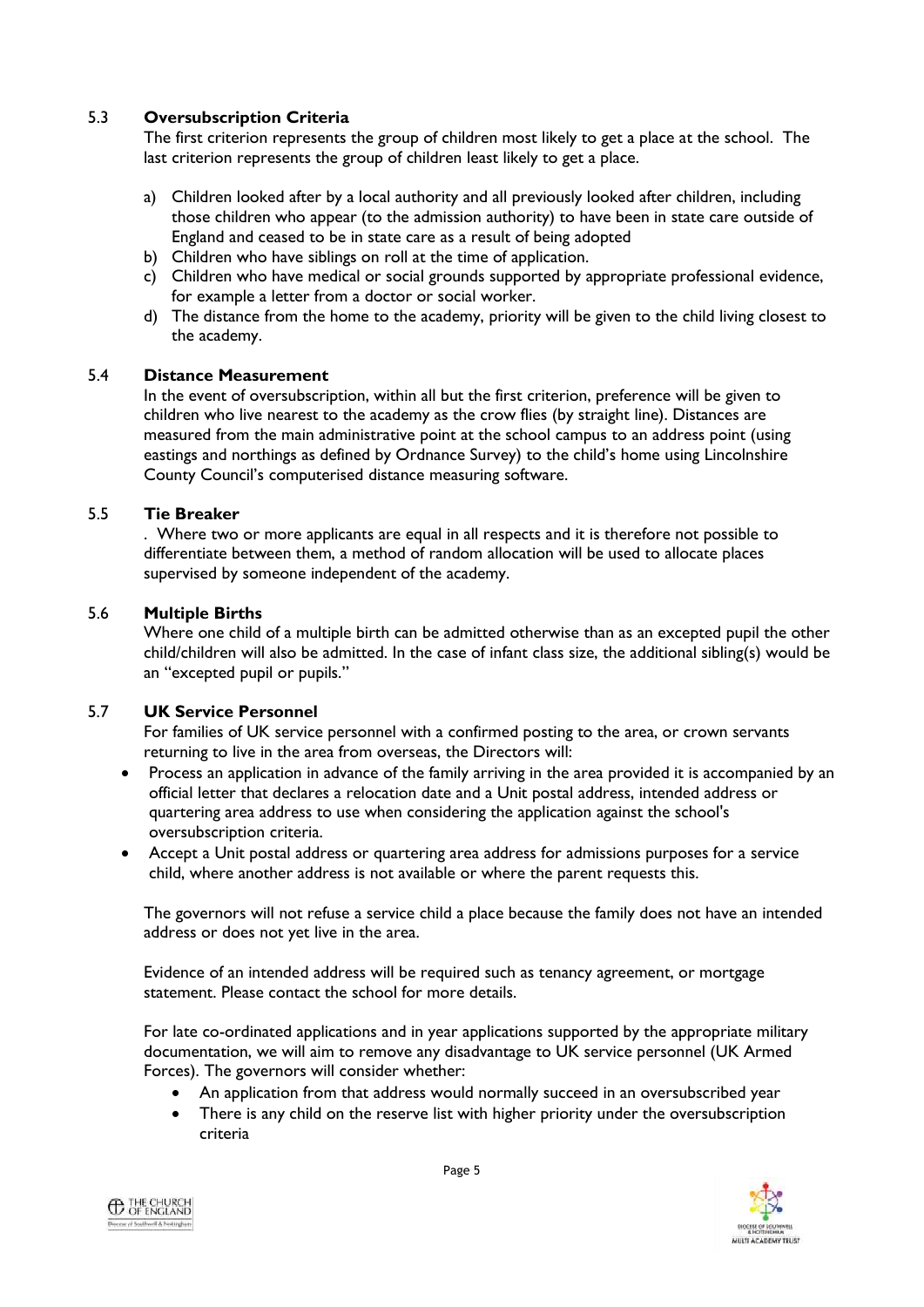# 5.3 **Oversubscription Criteria**

The first criterion represents the group of children most likely to get a place at the school. The last criterion represents the group of children least likely to get a place.

- a) Children looked after by a local authority and all previously looked after children, including those children who appear (to the admission authority) to have been in state care outside of England and ceased to be in state care as a result of being adopted
- b) Children who have siblings on roll at the time of application.
- c) Children who have medical or social grounds supported by appropriate professional evidence, for example a letter from a doctor or social worker.
- d) The distance from the home to the academy, priority will be given to the child living closest to the academy.

#### 5.4 **Distance Measurement**

In the event of oversubscription, within all but the first criterion, preference will be given to children who live nearest to the academy as the crow flies (by straight line). Distances are measured from the main administrative point at the school campus to an address point (using eastings and northings as defined by Ordnance Survey) to the child's home using Lincolnshire County Council's computerised distance measuring software.

#### 5.5 **Tie Breaker**

. Where two or more applicants are equal in all respects and it is therefore not possible to differentiate between them, a method of random allocation will be used to allocate places supervised by someone independent of the academy.

#### 5.6 **Multiple Births**

Where one child of a multiple birth can be admitted otherwise than as an excepted pupil the other child/children will also be admitted. In the case of infant class size, the additional sibling(s) would be an "excepted pupil or pupils."

#### 5.7 **UK Service Personnel**

For families of UK service personnel with a confirmed posting to the area, or crown servants returning to live in the area from overseas, the Directors will:

- Process an application in advance of the family arriving in the area provided it is accompanied by an official letter that declares a relocation date and a Unit postal address, intended address or quartering area address to use when considering the application against the school's oversubscription criteria.
- Accept a Unit postal address or quartering area address for admissions purposes for a service child, where another address is not available or where the parent requests this.

The governors will not refuse a service child a place because the family does not have an intended address or does not yet live in the area.

Evidence of an intended address will be required such as tenancy agreement, or mortgage statement. Please contact the school for more details.

For late co-ordinated applications and in year applications supported by the appropriate military documentation, we will aim to remove any disadvantage to UK service personnel (UK Armed Forces). The governors will consider whether:

- An application from that address would normally succeed in an oversubscribed year
- There is any child on the reserve list with higher priority under the oversubscription criteria



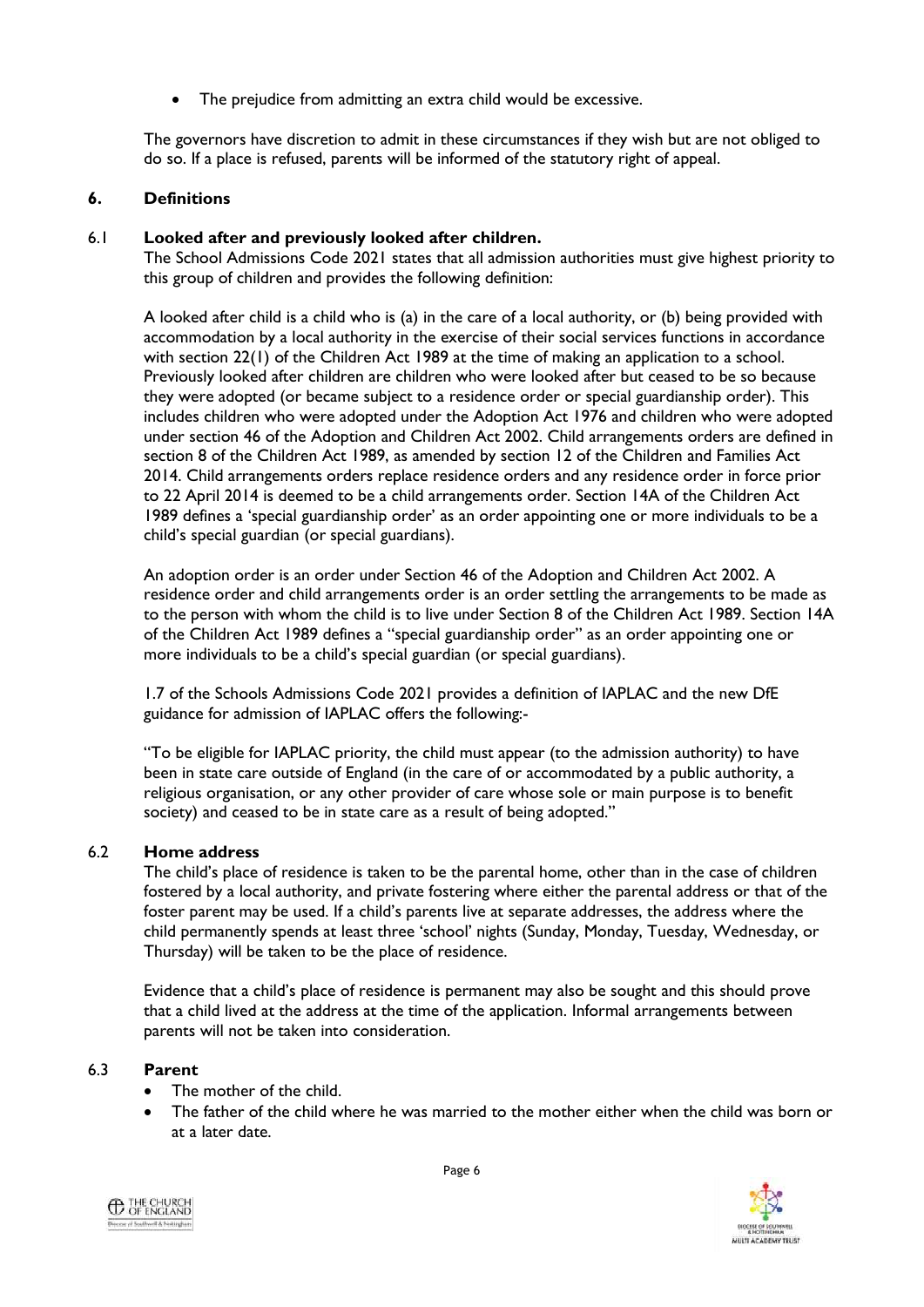The prejudice from admitting an extra child would be excessive.

The governors have discretion to admit in these circumstances if they wish but are not obliged to do so. If a place is refused, parents will be informed of the statutory right of appeal.

# **6. Definitions**

# 6.1 **Looked after and previously looked after children.**

The School Admissions Code 2021 states that all admission authorities must give highest priority to this group of children and provides the following definition:

A looked after child is a child who is (a) in the care of a local authority, or (b) being provided with accommodation by a local authority in the exercise of their social services functions in accordance with section 22(1) of the Children Act 1989 at the time of making an application to a school. Previously looked after children are children who were looked after but ceased to be so because they were adopted (or became subject to a residence order or special guardianship order). This includes children who were adopted under the Adoption Act 1976 and children who were adopted under section 46 of the Adoption and Children Act 2002. Child arrangements orders are defined in section 8 of the Children Act 1989, as amended by section 12 of the Children and Families Act 2014. Child arrangements orders replace residence orders and any residence order in force prior to 22 April 2014 is deemed to be a child arrangements order. Section 14A of the Children Act 1989 defines a 'special guardianship order' as an order appointing one or more individuals to be a child's special guardian (or special guardians).

An adoption order is an order under Section 46 of the Adoption and Children Act 2002. A residence order and child arrangements order is an order settling the arrangements to be made as to the person with whom the child is to live under Section 8 of the Children Act 1989. Section 14A of the Children Act 1989 defines a "special guardianship order" as an order appointing one or more individuals to be a child's special guardian (or special guardians).

1.7 of the Schools Admissions Code 2021 provides a definition of IAPLAC and the new DfE guidance for admission of IAPLAC offers the following:-

"To be eligible for IAPLAC priority, the child must appear (to the admission authority) to have been in state care outside of England (in the care of or accommodated by a public authority, a religious organisation, or any other provider of care whose sole or main purpose is to benefit society) and ceased to be in state care as a result of being adopted."

# 6.2 **Home address**

The child's place of residence is taken to be the parental home, other than in the case of children fostered by a local authority, and private fostering where either the parental address or that of the foster parent may be used. If a child's parents live at separate addresses, the address where the child permanently spends at least three 'school' nights (Sunday, Monday, Tuesday, Wednesday, or Thursday) will be taken to be the place of residence.

Evidence that a child's place of residence is permanent may also be sought and this should prove that a child lived at the address at the time of the application. Informal arrangements between parents will not be taken into consideration.

# 6.3 **Parent**

- The mother of the child.
- The father of the child where he was married to the mother either when the child was born or at a later date.



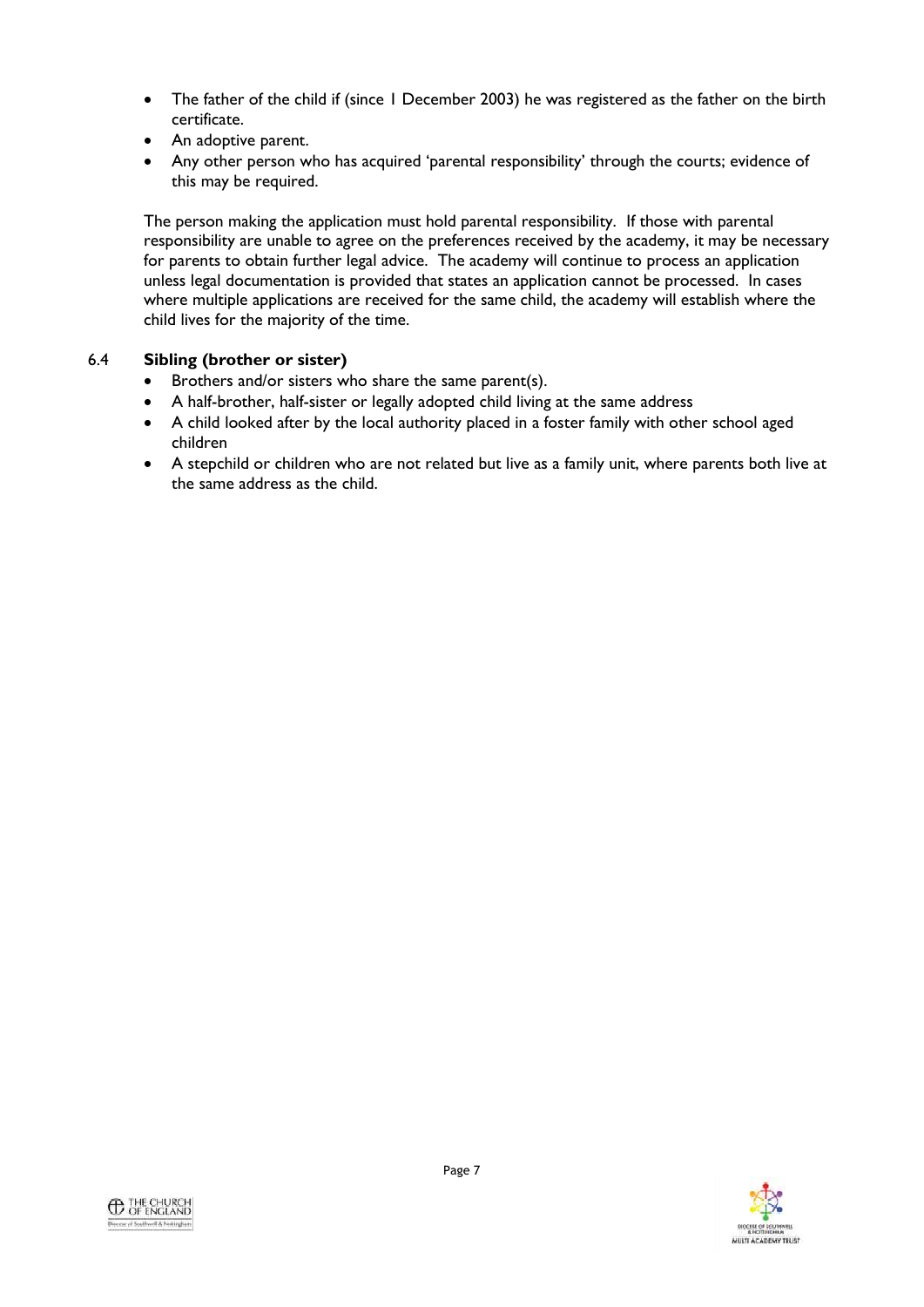- The father of the child if (since 1 December 2003) he was registered as the father on the birth certificate.
- An adoptive parent.
- Any other person who has acquired 'parental responsibility' through the courts; evidence of this may be required.

The person making the application must hold parental responsibility. If those with parental responsibility are unable to agree on the preferences received by the academy, it may be necessary for parents to obtain further legal advice. The academy will continue to process an application unless legal documentation is provided that states an application cannot be processed. In cases where multiple applications are received for the same child, the academy will establish where the child lives for the majority of the time.

# 6.4 **Sibling (brother or sister)**

- Brothers and/or sisters who share the same parent(s).
- A half-brother, half-sister or legally adopted child living at the same address
- A child looked after by the local authority placed in a foster family with other school aged children
- A stepchild or children who are not related but live as a family unit, where parents both live at the same address as the child.

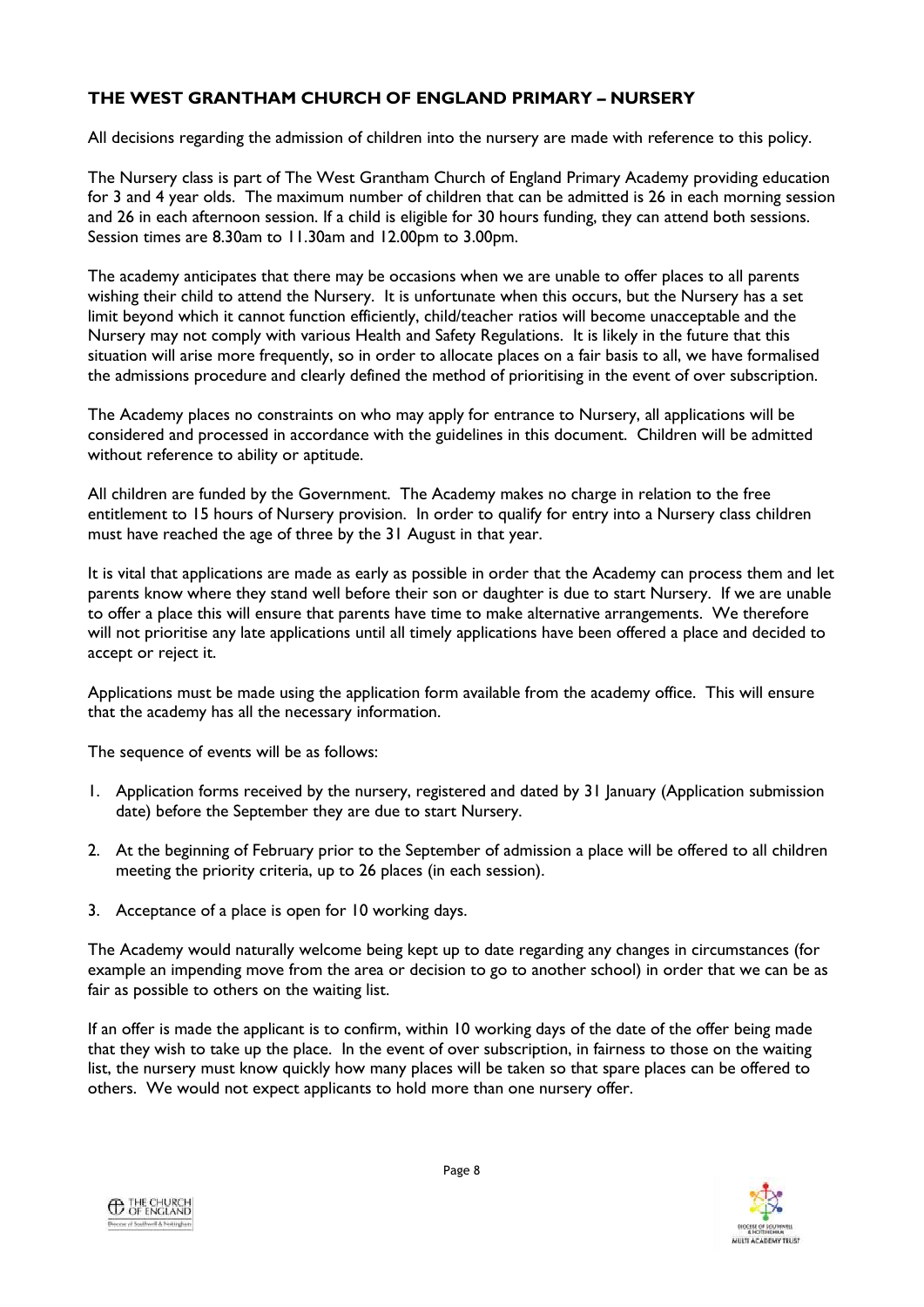# **THE WEST GRANTHAM CHURCH OF ENGLAND PRIMARY – NURSERY**

All decisions regarding the admission of children into the nursery are made with reference to this policy.

The Nursery class is part of The West Grantham Church of England Primary Academy providing education for 3 and 4 year olds. The maximum number of children that can be admitted is 26 in each morning session and 26 in each afternoon session. If a child is eligible for 30 hours funding, they can attend both sessions. Session times are 8.30am to 11.30am and 12.00pm to 3.00pm.

The academy anticipates that there may be occasions when we are unable to offer places to all parents wishing their child to attend the Nursery. It is unfortunate when this occurs, but the Nursery has a set limit beyond which it cannot function efficiently, child/teacher ratios will become unacceptable and the Nursery may not comply with various Health and Safety Regulations. It is likely in the future that this situation will arise more frequently, so in order to allocate places on a fair basis to all, we have formalised the admissions procedure and clearly defined the method of prioritising in the event of over subscription.

The Academy places no constraints on who may apply for entrance to Nursery, all applications will be considered and processed in accordance with the guidelines in this document. Children will be admitted without reference to ability or aptitude.

All children are funded by the Government. The Academy makes no charge in relation to the free entitlement to 15 hours of Nursery provision. In order to qualify for entry into a Nursery class children must have reached the age of three by the 31 August in that year.

It is vital that applications are made as early as possible in order that the Academy can process them and let parents know where they stand well before their son or daughter is due to start Nursery. If we are unable to offer a place this will ensure that parents have time to make alternative arrangements. We therefore will not prioritise any late applications until all timely applications have been offered a place and decided to accept or reject it.

Applications must be made using the application form available from the academy office. This will ensure that the academy has all the necessary information.

The sequence of events will be as follows:

- 1. Application forms received by the nursery, registered and dated by 31 January (Application submission date) before the September they are due to start Nursery.
- 2. At the beginning of February prior to the September of admission a place will be offered to all children meeting the priority criteria, up to 26 places (in each session).
- 3. Acceptance of a place is open for 10 working days.

The Academy would naturally welcome being kept up to date regarding any changes in circumstances (for example an impending move from the area or decision to go to another school) in order that we can be as fair as possible to others on the waiting list.

If an offer is made the applicant is to confirm, within 10 working days of the date of the offer being made that they wish to take up the place. In the event of over subscription, in fairness to those on the waiting list, the nursery must know quickly how many places will be taken so that spare places can be offered to others. We would not expect applicants to hold more than one nursery offer.



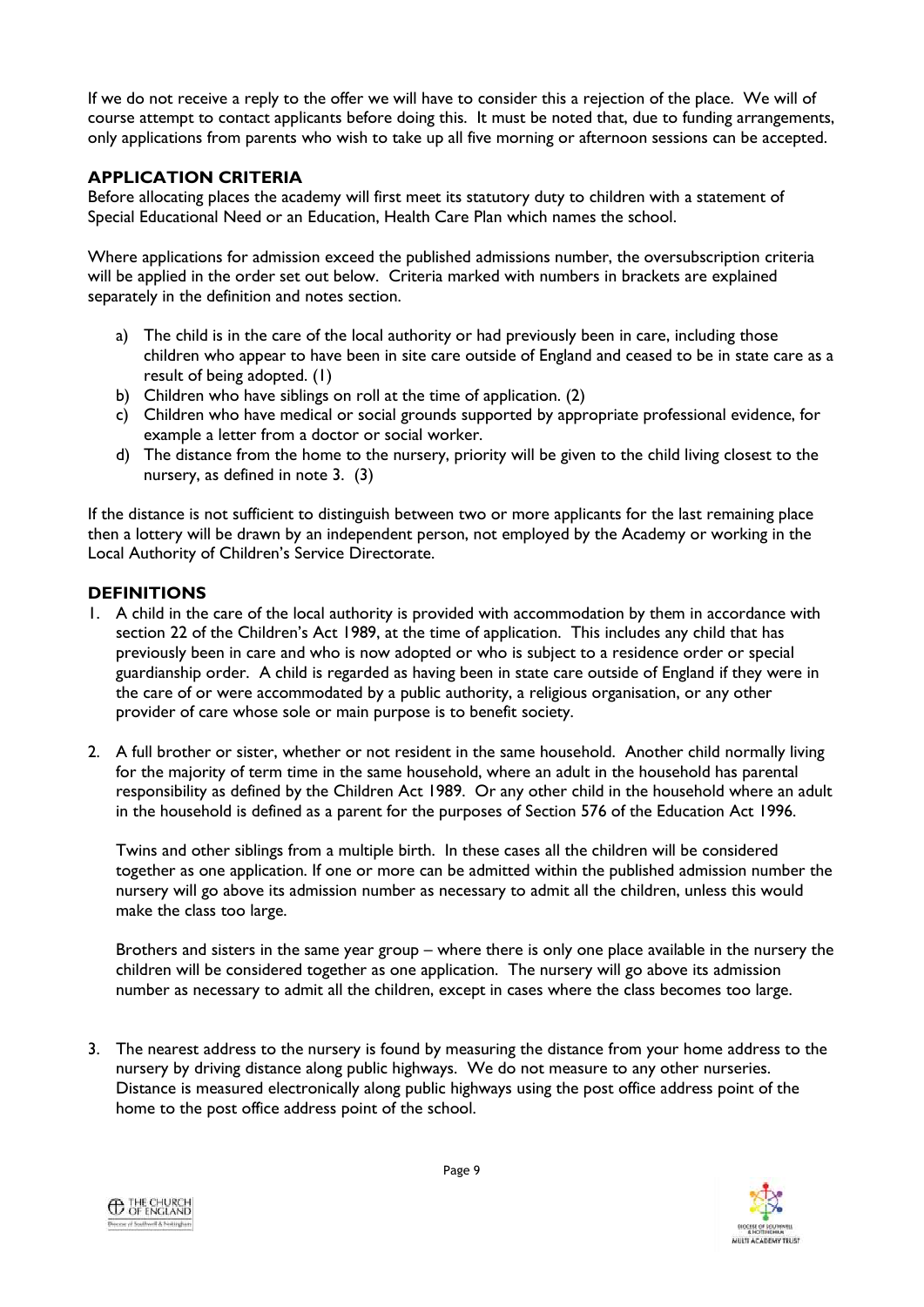If we do not receive a reply to the offer we will have to consider this a rejection of the place. We will of course attempt to contact applicants before doing this. It must be noted that, due to funding arrangements, only applications from parents who wish to take up all five morning or afternoon sessions can be accepted.

# **APPLICATION CRITERIA**

Before allocating places the academy will first meet its statutory duty to children with a statement of Special Educational Need or an Education, Health Care Plan which names the school.

Where applications for admission exceed the published admissions number, the oversubscription criteria will be applied in the order set out below. Criteria marked with numbers in brackets are explained separately in the definition and notes section.

- a) The child is in the care of the local authority or had previously been in care, including those children who appear to have been in site care outside of England and ceased to be in state care as a result of being adopted. (1)
- b) Children who have siblings on roll at the time of application. (2)
- c) Children who have medical or social grounds supported by appropriate professional evidence, for example a letter from a doctor or social worker.
- d) The distance from the home to the nursery, priority will be given to the child living closest to the nursery, as defined in note 3. (3)

If the distance is not sufficient to distinguish between two or more applicants for the last remaining place then a lottery will be drawn by an independent person, not employed by the Academy or working in the Local Authority of Children's Service Directorate.

#### **DEFINITIONS**

- 1. A child in the care of the local authority is provided with accommodation by them in accordance with section 22 of the Children's Act 1989, at the time of application. This includes any child that has previously been in care and who is now adopted or who is subject to a residence order or special guardianship order. A child is regarded as having been in state care outside of England if they were in the care of or were accommodated by a public authority, a religious organisation, or any other provider of care whose sole or main purpose is to benefit society.
- 2. A full brother or sister, whether or not resident in the same household. Another child normally living for the majority of term time in the same household, where an adult in the household has parental responsibility as defined by the Children Act 1989. Or any other child in the household where an adult in the household is defined as a parent for the purposes of Section 576 of the Education Act 1996.

Twins and other siblings from a multiple birth. In these cases all the children will be considered together as one application. If one or more can be admitted within the published admission number the nursery will go above its admission number as necessary to admit all the children, unless this would make the class too large.

Brothers and sisters in the same year group – where there is only one place available in the nursery the children will be considered together as one application. The nursery will go above its admission number as necessary to admit all the children, except in cases where the class becomes too large.

3. The nearest address to the nursery is found by measuring the distance from your home address to the nursery by driving distance along public highways. We do not measure to any other nurseries. Distance is measured electronically along public highways using the post office address point of the home to the post office address point of the school.